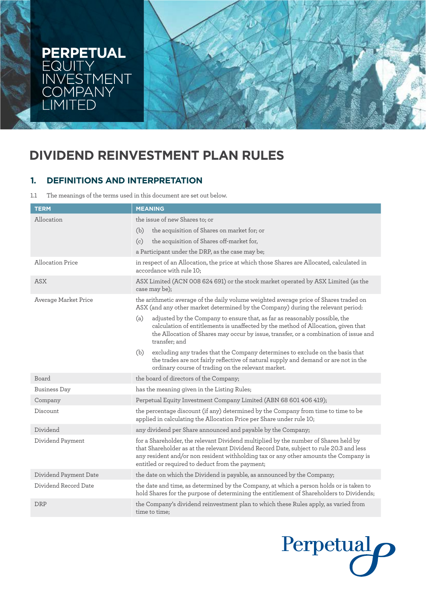

# **DIVIDEND REINVESTMENT PLAN RULES**

## **1. DEFINITIONS AND INTERPRETATION**

1.1 The meanings of the terms used in this document are set out below.

| <b>TERM</b>             | <b>MEANING</b>                                                                                                                                                                                                                                                                                                             |
|-------------------------|----------------------------------------------------------------------------------------------------------------------------------------------------------------------------------------------------------------------------------------------------------------------------------------------------------------------------|
| Allocation              | the issue of new Shares to; or                                                                                                                                                                                                                                                                                             |
|                         | the acquisition of Shares on market for; or<br>(b)                                                                                                                                                                                                                                                                         |
|                         | the acquisition of Shares off-market for,<br>(c)                                                                                                                                                                                                                                                                           |
|                         | a Participant under the DRP, as the case may be;                                                                                                                                                                                                                                                                           |
| <b>Allocation Price</b> | in respect of an Allocation, the price at which those Shares are Allocated, calculated in<br>accordance with rule 10;                                                                                                                                                                                                      |
| ASX                     | ASX Limited (ACN 008 624 691) or the stock market operated by ASX Limited (as the<br>case may be);                                                                                                                                                                                                                         |
| Average Market Price    | the arithmetic average of the daily volume weighted average price of Shares traded on<br>ASX (and any other market determined by the Company) during the relevant period:                                                                                                                                                  |
|                         | adjusted by the Company to ensure that, as far as reasonably possible, the<br>(a)<br>calculation of entitlements is unaffected by the method of Allocation, given that<br>the Allocation of Shares may occur by issue, transfer, or a combination of issue and<br>transfer; and                                            |
|                         | excluding any trades that the Company determines to exclude on the basis that<br>(b)<br>the trades are not fairly reflective of natural supply and demand or are not in the<br>ordinary course of trading on the relevant market.                                                                                          |
| Board                   | the board of directors of the Company;                                                                                                                                                                                                                                                                                     |
| <b>Business Day</b>     | has the meaning given in the Listing Rules;                                                                                                                                                                                                                                                                                |
| Company                 | Perpetual Equity Investment Company Limited (ABN 68 601 406 419);                                                                                                                                                                                                                                                          |
| Discount                | the percentage discount (if any) determined by the Company from time to time to be<br>applied in calculating the Allocation Price per Share under rule 10;                                                                                                                                                                 |
| Dividend                | any dividend per Share announced and payable by the Company;                                                                                                                                                                                                                                                               |
| Dividend Payment        | for a Shareholder, the relevant Dividend multiplied by the number of Shares held by<br>that Shareholder as at the relevant Dividend Record Date, subject to rule 20.3 and less<br>any resident and/or non resident withholding tax or any other amounts the Company is<br>entitled or required to deduct from the payment; |
| Dividend Payment Date   | the date on which the Dividend is payable, as announced by the Company;                                                                                                                                                                                                                                                    |
| Dividend Record Date    | the date and time, as determined by the Company, at which a person holds or is taken to<br>hold Shares for the purpose of determining the entitlement of Shareholders to Dividends;                                                                                                                                        |
| <b>DRP</b>              | the Company's dividend reinvestment plan to which these Rules apply, as varied from<br>time to time;                                                                                                                                                                                                                       |

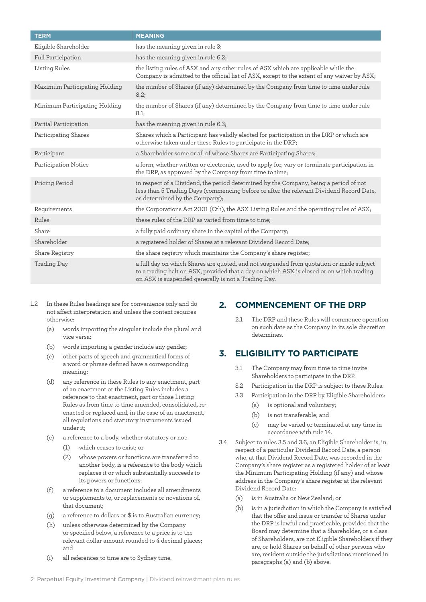| <b>TERM</b>                   | <b>MEANING</b>                                                                                                                                                                                                                             |
|-------------------------------|--------------------------------------------------------------------------------------------------------------------------------------------------------------------------------------------------------------------------------------------|
| Eligible Shareholder          | has the meaning given in rule 3;                                                                                                                                                                                                           |
| Full Participation            | has the meaning given in rule 6.2;                                                                                                                                                                                                         |
| Listing Rules                 | the listing rules of ASX and any other rules of ASX which are applicable while the<br>Company is admitted to the official list of ASX, except to the extent of any waiver by ASX;                                                          |
| Maximum Participating Holding | the number of Shares (if any) determined by the Company from time to time under rule<br>8.2;                                                                                                                                               |
| Minimum Participating Holding | the number of Shares (if any) determined by the Company from time to time under rule<br>8.1;                                                                                                                                               |
| Partial Participation         | has the meaning given in rule 6.3;                                                                                                                                                                                                         |
| Participating Shares          | Shares which a Participant has validly elected for participation in the DRP or which are<br>otherwise taken under these Rules to participate in the DRP;                                                                                   |
| Participant                   | a Shareholder some or all of whose Shares are Participating Shares;                                                                                                                                                                        |
| Participation Notice          | a form, whether written or electronic, used to apply for, vary or terminate participation in<br>the DRP, as approved by the Company from time to time;                                                                                     |
| Pricing Period                | in respect of a Dividend, the period determined by the Company, being a period of not<br>less than 5 Trading Days (commencing before or after the relevant Dividend Record Date,<br>as determined by the Company);                         |
| Requirements                  | the Corporations Act 2001 (Cth), the ASX Listing Rules and the operating rules of ASX;                                                                                                                                                     |
| Rules                         | these rules of the DRP as varied from time to time;                                                                                                                                                                                        |
| Share                         | a fully paid ordinary share in the capital of the Company;                                                                                                                                                                                 |
| Shareholder                   | a registered holder of Shares at a relevant Dividend Record Date;                                                                                                                                                                          |
| Share Registry                | the share registry which maintains the Company's share register;                                                                                                                                                                           |
| <b>Trading Day</b>            | a full day on which Shares are quoted, and not suspended from quotation or made subject<br>to a trading halt on ASX, provided that a day on which ASX is closed or on which trading<br>on ASX is suspended generally is not a Trading Day. |

- 1.2 In these Rules headings are for convenience only and do not affect interpretation and unless the context requires otherwise:
	- (a) words importing the singular include the plural and vice versa;
	- (b) words importing a gender include any gender;
	- (c) other parts of speech and grammatical forms of a word or phrase defined have a corresponding meaning;
	- (d) any reference in these Rules to any enactment, part of an enactment or the Listing Rules includes a reference to that enactment, part or those Listing Rules as from time to time amended, consolidated, reenacted or replaced and, in the case of an enactment, all regulations and statutory instruments issued under it;
	- (e) a reference to a body, whether statutory or not:
		- (1) which ceases to exist; or
			- (2) whose powers or functions are transferred to another body, is a reference to the body which replaces it or which substantially succeeds to its powers or functions;
	- (f) a reference to a document includes all amendments or supplements to, or replacements or novations of, that document;
	- (g) a reference to dollars or \$ is to Australian currency;
	- (h) unless otherwise determined by the Company or specified below, a reference to a price is to the relevant dollar amount rounded to 4 decimal places; and
	- (i) all references to time are to Sydney time.

## **2. COMMENCEMENT OF THE DRP**

2.1 The DRP and these Rules will commence operation on such date as the Company in its sole discretion determines.

#### **3. ELIGIBILITY TO PARTICIPATE**

- 3.1 The Company may from time to time invite Shareholders to participate in the DRP.
- 3.2 Participation in the DRP is subject to these Rules.
- 3.3 Participation in the DRP by Eligible Shareholders:
	- (a) is optional and voluntary;
	- (b) is not transferable; and
	- (c) may be varied or terminated at any time in accordance with rule 14.
- 3.4 Subject to rules 3.5 and 3.6, an Eligible Shareholder is, in respect of a particular Dividend Record Date, a person who, at that Dividend Record Date, was recorded in the Company's share register as a registered holder of at least the Minimum Participating Holding (if any) and whose address in the Company's share register at the relevant Dividend Record Date:
	- (a) is in Australia or New Zealand; or
	- (b) is in a jurisdiction in which the Company is satisfied that the offer and issue or transfer of Shares under the DRP is lawful and practicable, provided that the Board may determine that a Shareholder, or a class of Shareholders, are not Eligible Shareholders if they are, or hold Shares on behalf of other persons who are, resident outside the jurisdictions mentioned in paragraphs (a) and (b) above.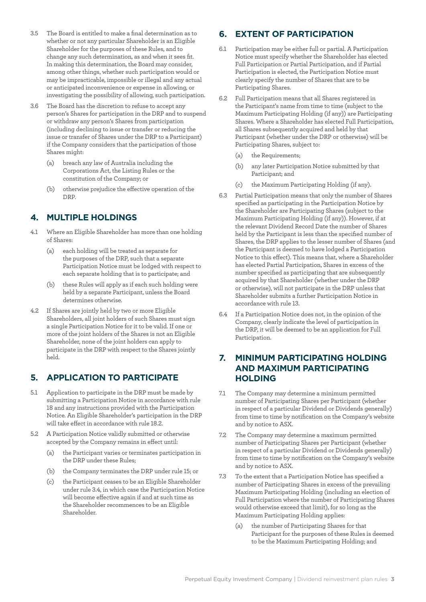- 3.5 The Board is entitled to make a final determination as to whether or not any particular Shareholder is an Eligible Shareholder for the purposes of these Rules, and to change any such determination, as and when it sees fit. In making this determination, the Board may consider, among other things, whether such participation would or may be impracticable, impossible or illegal and any actual or anticipated inconvenience or expense in allowing, or investigating the possibility of allowing, such participation.
- 3.6 The Board has the discretion to refuse to accept any person's Shares for participation in the DRP and to suspend or withdraw any person's Shares from participation (including declining to issue or transfer or reducing the issue or transfer of Shares under the DRP to a Participant) if the Company considers that the participation of those Shares might:
	- (a) breach any law of Australia including the Corporations Act, the Listing Rules or the constitution of the Company; or
	- (b) otherwise prejudice the effective operation of the DRP.

#### **4. MULTIPLE HOLDINGS**

- 4.1 Where an Eligible Shareholder has more than one holding of Shares:
	- (a) each holding will be treated as separate for the purposes of the DRP, such that a separate Participation Notice must be lodged with respect to each separate holding that is to participate; and
	- (b) these Rules will apply as if each such holding were held by a separate Participant, unless the Board determines otherwise.
- 4.2 If Shares are jointly held by two or more Eligible Shareholders, all joint holders of such Shares must sign a single Participation Notice for it to be valid. If one or more of the joint holders of the Shares is not an Eligible Shareholder, none of the joint holders can apply to participate in the DRP with respect to the Shares jointly held.

#### **5. APPLICATION TO PARTICIPATE**

- 5.1 Application to participate in the DRP must be made by submitting a Participation Notice in accordance with rule 18 and any instructions provided with the Participation Notice. An Eligible Shareholder's participation in the DRP will take effect in accordance with rule 18.2.
- 5.2 A Participation Notice validly submitted or otherwise accepted by the Company remains in effect until:
	- (a) the Participant varies or terminates participation in the DRP under these Rules;
	- (b) the Company terminates the DRP under rule 15; or
	- (c) the Participant ceases to be an Eligible Shareholder under rule 3.4, in which case the Participation Notice will become effective again if and at such time as the Shareholder recommences to be an Eligible Shareholder.

## **6. EXTENT OF PARTICIPATION**

- 6.1 Participation may be either full or partial. A Participation Notice must specify whether the Shareholder has elected Full Participation or Partial Participation, and if Partial Participation is elected, the Participation Notice must clearly specify the number of Shares that are to be Participating Shares.
- 6.2 Full Participation means that all Shares registered in the Participant's name from time to time (subject to the Maximum Participating Holding (if any)) are Participating Shares. Where a Shareholder has elected Full Participation, all Shares subsequently acquired and held by that Participant (whether under the DRP or otherwise) will be Participating Shares, subject to:
	- (a) the Requirements;
	- (b) any later Participation Notice submitted by that Participant; and
	- (c) the Maximum Participating Holding (if any).
- 6.3 Partial Participation means that only the number of Shares specified as participating in the Participation Notice by the Shareholder are Participating Shares (subject to the Maximum Participating Holding (if any)). However, if at the relevant Dividend Record Date the number of Shares held by the Participant is less than the specified number of Shares, the DRP applies to the lesser number of Shares (and the Participant is deemed to have lodged a Participation Notice to this effect). This means that, where a Shareholder has elected Partial Participation, Shares in excess of the number specified as participating that are subsequently acquired by that Shareholder (whether under the DRP or otherwise), will not participate in the DRP unless that Shareholder submits a further Participation Notice in accordance with rule 13.
- 6.4 If a Participation Notice does not, in the opinion of the Company, clearly indicate the level of participation in the DRP, it will be deemed to be an application for Full Participation.

#### **7. MINIMUM PARTICIPATING HOLDING AND MAXIMUM PARTICIPATING HOLDING**

- 7.1 The Company may determine a minimum permitted number of Participating Shares per Participant (whether in respect of a particular Dividend or Dividends generally) from time to time by notification on the Company's website and by notice to ASX.
- 7.2 The Company may determine a maximum permitted number of Participating Shares per Participant (whether in respect of a particular Dividend or Dividends generally) from time to time by notification on the Company's website and by notice to ASX.
- 7.3 To the extent that a Participation Notice has specified a number of Participating Shares in excess of the prevailing Maximum Participating Holding (including an election of Full Participation where the number of Participating Shares would otherwise exceed that limit), for so long as the Maximum Participating Holding applies:
	- (a) the number of Participating Shares for that Participant for the purposes of these Rules is deemed to be the Maximum Participating Holding; and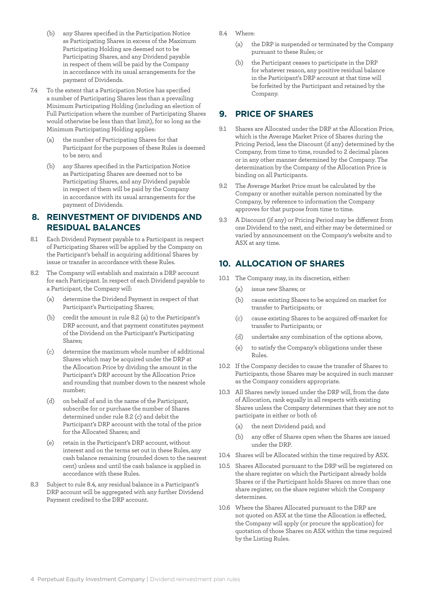- (b) any Shares specified in the Participation Notice as Participating Shares in excess of the Maximum Participating Holding are deemed not to be Participating Shares, and any Dividend payable in respect of them will be paid by the Company in accordance with its usual arrangements for the payment of Dividends.
- 7.4 To the extent that a Participation Notice has specified a number of Participating Shares less than a prevailing Minimum Participating Holding (including an election of Full Participation where the number of Participating Shares would otherwise be less than that limit), for so long as the Minimum Participating Holding applies:
	- the number of Participating Shares for that Participant for the purposes of these Rules is deemed to be zero; and
	- any Shares specified in the Participation Notice as Participating Shares are deemed not to be Participating Shares, and any Dividend payable in respect of them will be paid by the Company in accordance with its usual arrangements for the payment of Dividends.

#### **8. REINVESTMENT OF DIVIDENDS AND RESIDUAL BALANCES**

- 8.1 Each Dividend Payment payable to a Participant in respect of Participating Shares will be applied by the Company on the Participant's behalf in acquiring additional Shares by issue or transfer in accordance with these Rules.
- 8.2 The Company will establish and maintain a DRP account for each Participant. In respect of each Dividend payable to a Participant, the Company will:
	- (a) determine the Dividend Payment in respect of that Participant's Participating Shares;
	- (b) credit the amount in rule 8.2 (a) to the Participant's DRP account, and that payment constitutes payment of the Dividend on the Participant's Participating Shares;
	- (c) determine the maximum whole number of additional Shares which may be acquired under the DRP at the Allocation Price by dividing the amount in the Participant's DRP account by the Allocation Price and rounding that number down to the nearest whole number;
	- (d) on behalf of and in the name of the Participant, subscribe for or purchase the number of Shares determined under rule 8.2 (c) and debit the Participant's DRP account with the total of the price for the Allocated Shares; and
	- (e) retain in the Participant's DRP account, without interest and on the terms set out in these Rules, any cash balance remaining (rounded down to the nearest cent) unless and until the cash balance is applied in accordance with these Rules.
- 8.3 Subject to rule 8.4, any residual balance in a Participant's DRP account will be aggregated with any further Dividend Payment credited to the DRP account.
- 8.4 Where:
	- (a) the DRP is suspended or terminated by the Company pursuant to these Rules; or
	- (b) the Participant ceases to participate in the DRP for whatever reason, any positive residual balance in the Participant's DRP account at that time will be forfeited by the Participant and retained by the Company.

#### **9. PRICE OF SHARES**

- 9.1 Shares are Allocated under the DRP at the Allocation Price, which is the Average Market Price of Shares during the Pricing Period, less the Discount (if any) determined by the Company, from time to time, rounded to 2 decimal places or in any other manner determined by the Company. The determination by the Company of the Allocation Price is binding on all Participants.
- 9.2 The Average Market Price must be calculated by the Company or another suitable person nominated by the Company, by reference to information the Company approves for that purpose from time to time.
- 9.3 A Discount (if any) or Pricing Period may be different from one Dividend to the next, and either may be determined or varied by announcement on the Company's website and to ASX at any time.

#### **10. ALLOCATION OF SHARES**

- 10.1 The Company may, in its discretion, either:
	- (a) issue new Shares; or
	- (b) cause existing Shares to be acquired on market for transfer to Participants; or
	- (c) cause existing Shares to be acquired off-market for transfer to Participants; or
	- (d) undertake any combination of the options above,
	- (e) to satisfy the Company's obligations under these Rules.
- 10.2 If the Company decides to cause the transfer of Shares to Participants, those Shares may be acquired in such manner as the Company considers appropriate.
- 10.3 All Shares newly issued under the DRP will, from the date of Allocation, rank equally in all respects with existing Shares unless the Company determines that they are not to participate in either or both of:
	- (a) the next Dividend paid; and
	- (b) any offer of Shares open when the Shares are issued under the DRP.
- 10.4 Shares will be Allocated within the time required by ASX.
- 10.5 Shares Allocated pursuant to the DRP will be registered on the share register on which the Participant already holds Shares or if the Participant holds Shares on more than one share register, on the share register which the Company determines.
- 10.6 Where the Shares Allocated pursuant to the DRP are not quoted on ASX at the time the Allocation is effected, the Company will apply (or procure the application) for quotation of those Shares on ASX within the time required by the Listing Rules.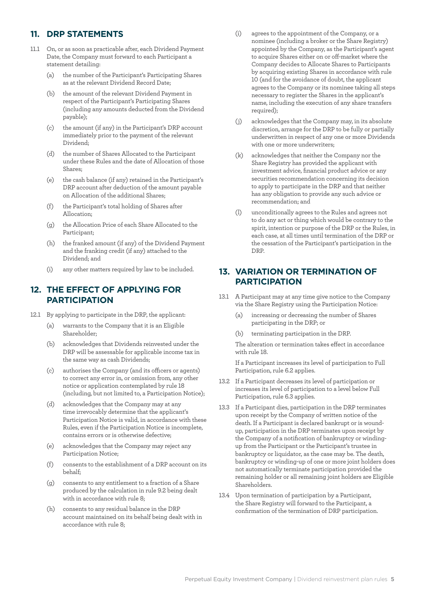## **11. DRP STATEMENTS**

- 11.1 On, or as soon as practicable after, each Dividend Payment Date, the Company must forward to each Participant a statement detailing:
	- (a) the number of the Participant's Participating Shares as at the relevant Dividend Record Date;
	- (b) the amount of the relevant Dividend Payment in respect of the Participant's Participating Shares (including any amounts deducted from the Dividend payable);
	- (c) the amount (if any) in the Participant's DRP account immediately prior to the payment of the relevant Dividend;
	- (d) the number of Shares Allocated to the Participant under these Rules and the date of Allocation of those Shares;
	- (e) the cash balance (if any) retained in the Participant's DRP account after deduction of the amount payable on Allocation of the additional Shares;
	- (f) the Participant's total holding of Shares after Allocation;
	- (g) the Allocation Price of each Share Allocated to the Participant;
	- (h) the franked amount (if any) of the Dividend Payment and the franking credit (if any) attached to the Dividend; and
	- (i) any other matters required by law to be included.

#### **12. THE EFFECT OF APPLYING FOR PARTICIPATION**

- 12.1 By applying to participate in the DRP, the applicant:
	- (a) warrants to the Company that it is an Eligible Shareholder;
	- (b) acknowledges that Dividends reinvested under the DRP will be assessable for applicable income tax in the same way as cash Dividends;
	- (c) authorises the Company (and its officers or agents) to correct any error in, or omission from, any other notice or application contemplated by rule 18 (including, but not limited to, a Participation Notice);
	- (d) acknowledges that the Company may at any time irrevocably determine that the applicant's Participation Notice is valid, in accordance with these Rules, even if the Participation Notice is incomplete, contains errors or is otherwise defective;
	- acknowledges that the Company may reject any Participation Notice;
	- (f) consents to the establishment of a DRP account on its behalf;
	- (g) consents to any entitlement to a fraction of a Share produced by the calculation in rule 9.2 being dealt with in accordance with rule 8;
	- (h) consents to any residual balance in the DRP account maintained on its behalf being dealt with in accordance with rule 8;
- (i) agrees to the appointment of the Company, or a nominee (including a broker or the Share Registry) appointed by the Company, as the Participant's agent to acquire Shares either on or off-market where the Company decides to Allocate Shares to Participants by acquiring existing Shares in accordance with rule 10 (and for the avoidance of doubt, the applicant agrees to the Company or its nominee taking all steps necessary to register the Shares in the applicant's name, including the execution of any share transfers required):
- (j) acknowledges that the Company may, in its absolute discretion, arrange for the DRP to be fully or partially underwritten in respect of any one or more Dividends with one or more underwriters;
- (k) acknowledges that neither the Company nor the Share Registry has provided the applicant with investment advice, financial product advice or any securities recommendation concerning its decision to apply to participate in the DRP and that neither has any obligation to provide any such advice or recommendation; and
- (l) unconditionally agrees to the Rules and agrees not to do any act or thing which would be contrary to the spirit, intention or purpose of the DRP or the Rules, in each case, at all times until termination of the DRP or the cessation of the Participant's participation in the DRP.

## **13. VARIATION OR TERMINATION OF PARTICIPATION**

- 13.1 A Participant may at any time give notice to the Company via the Share Registry using the Participation Notice:
	- (a) increasing or decreasing the number of Shares participating in the DRP; or
	- (b) terminating participation in the DRP.

The alteration or termination takes effect in accordance with rule 18.

If a Participant increases its level of participation to Full Participation, rule 6.2 applies.

- 13.2 If a Participant decreases its level of participation or increases its level of participation to a level below Full Participation, rule 6.3 applies.
- 13.3 If a Participant dies, participation in the DRP terminates upon receipt by the Company of written notice of the death. If a Participant is declared bankrupt or is woundup, participation in the DRP terminates upon receipt by the Company of a notification of bankruptcy or windingup from the Participant or the Participant's trustee in bankruptcy or liquidator, as the case may be. The death, bankruptcy or winding-up of one or more joint holders does not automatically terminate participation provided the remaining holder or all remaining joint holders are Eligible Shareholders.
- 13.4 Upon termination of participation by a Participant, the Share Registry will forward to the Participant, a confirmation of the termination of DRP participation.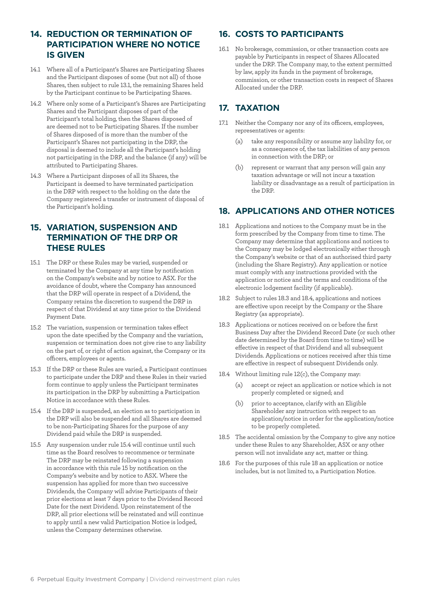#### **14. REDUCTION OR TERMINATION OF PARTICIPATION WHERE NO NOTICE IS GIVEN**

- 14.1 Where all of a Participant's Shares are Participating Shares and the Participant disposes of some (but not all) of those Shares, then subject to rule 13.1, the remaining Shares held by the Participant continue to be Participating Shares.
- 14.2 Where only some of a Participant's Shares are Participating Shares and the Participant disposes of part of the Participant's total holding, then the Shares disposed of are deemed not to be Participating Shares. If the number of Shares disposed of is more than the number of the Participant's Shares not participating in the DRP, the disposal is deemed to include all the Participant's holding not participating in the DRP, and the balance (if any) will be attributed to Participating Shares.
- 14.3 Where a Participant disposes of all its Shares, the Participant is deemed to have terminated participation in the DRP with respect to the holding on the date the Company registered a transfer or instrument of disposal of the Participant's holding.

#### **15. VARIATION, SUSPENSION AND TERMINATION OF THE DRP OR THESE RULES**

- 15.1 The DRP or these Rules may be varied, suspended or terminated by the Company at any time by notification on the Company's website and by notice to ASX. For the avoidance of doubt, where the Company has announced that the DRP will operate in respect of a Dividend, the Company retains the discretion to suspend the DRP in respect of that Dividend at any time prior to the Dividend Payment Date.
- 15.2 The variation, suspension or termination takes effect upon the date specified by the Company and the variation, suspension or termination does not give rise to any liability on the part of, or right of action against, the Company or its officers, employees or agents.
- 15.3 If the DRP or these Rules are varied, a Participant continues to participate under the DRP and these Rules in their varied form continue to apply unless the Participant terminates its participation in the DRP by submitting a Participation Notice in accordance with these Rules.
- 15.4 If the DRP is suspended, an election as to participation in the DRP will also be suspended and all Shares are deemed to be non-Participating Shares for the purpose of any Dividend paid while the DRP is suspended.
- 15.5 Any suspension under rule 15.4 will continue until such time as the Board resolves to recommence or terminate The DRP may be reinstated following a suspension in accordance with this rule 15 by notification on the Company's website and by notice to ASX. Where the suspension has applied for more than two successive Dividends, the Company will advise Participants of their prior elections at least 7 days prior to the Dividend Record Date for the next Dividend. Upon reinstatement of the DRP, all prior elections will be reinstated and will continue to apply until a new valid Participation Notice is lodged, unless the Company determines otherwise.

#### **16. COSTS TO PARTICIPANTS**

16.1 No brokerage, commission, or other transaction costs are payable by Participants in respect of Shares Allocated under the DRP. The Company may, to the extent permitted by law, apply its funds in the payment of brokerage, commission, or other transaction costs in respect of Shares Allocated under the DRP.

#### **17. TAXATION**

- 17.1 Neither the Company nor any of its officers, employees, representatives or agents:
	- (a) take any responsibility or assume any liability for, or as a consequence of, the tax liabilities of any person in connection with the DRP; or
	- (b) represent or warrant that any person will gain any taxation advantage or will not incur a taxation liability or disadvantage as a result of participation in the DRP.

#### **18. APPLICATIONS AND OTHER NOTICES**

- 18.1 Applications and notices to the Company must be in the form prescribed by the Company from time to time. The Company may determine that applications and notices to the Company may be lodged electronically either through the Company's website or that of an authorised third party (including the Share Registry). Any application or notice must comply with any instructions provided with the application or notice and the terms and conditions of the electronic lodgement facility (if applicable).
- 18.2 Subject to rules 18.3 and 18.4, applications and notices are effective upon receipt by the Company or the Share Registry (as appropriate).
- 18.3 Applications or notices received on or before the first Business Day after the Dividend Record Date (or such other date determined by the Board from time to time) will be effective in respect of that Dividend and all subsequent Dividends. Applications or notices received after this time are effective in respect of subsequent Dividends only.
- 18.4 Without limiting rule 12(c), the Company may:
	- (a) accept or reject an application or notice which is not properly completed or signed; and
	- (b) prior to acceptance, clarify with an Eligible Shareholder any instruction with respect to an application/notice in order for the application/notice to be properly completed.
- 18.5 The accidental omission by the Company to give any notice under these Rules to any Shareholder, ASX or any other person will not invalidate any act, matter or thing.
- 18.6 For the purposes of this rule 18 an application or notice includes, but is not limited to, a Participation Notice.